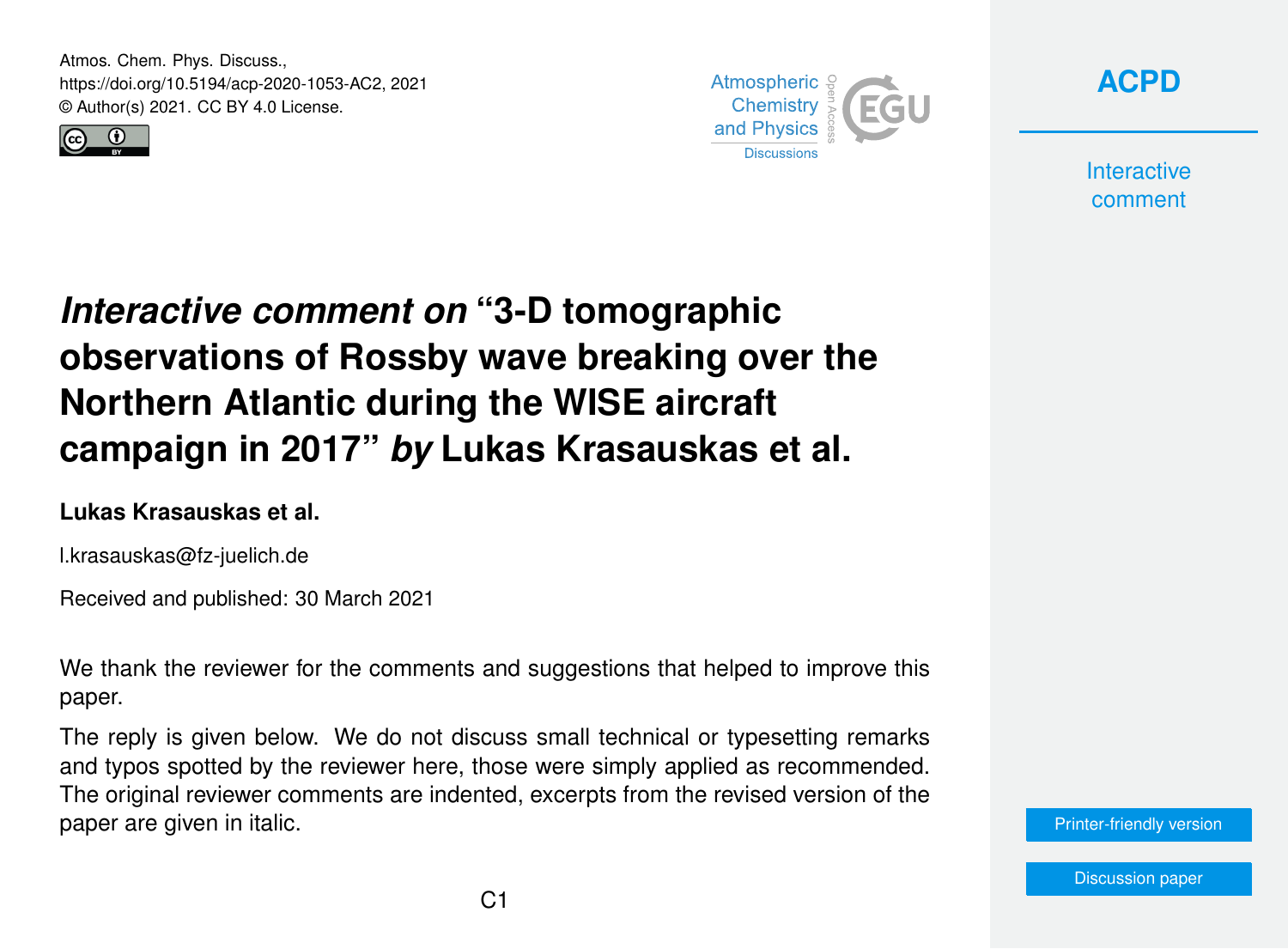Atmos. Chem. Phys. Discuss., https://doi.org/10.5194/acp-2020-1053-AC2, 2021 © Author(s) 2021. CC BY 4.0 License.





**[ACPD](https://acp.copernicus.org/preprints/)**

**Interactive** comment

## *Interactive comment on* **"3-D tomographic observations of Rossby wave breaking over the Northern Atlantic during the WISE aircraft campaign in 2017"** *by* **Lukas Krasauskas et al.**

## **Lukas Krasauskas et al.**

l.krasauskas@fz-juelich.de

Received and published: 30 March 2021

We thank the reviewer for the comments and suggestions that helped to improve this paper.

The reply is given below. We do not discuss small technical or typesetting remarks and typos spotted by the reviewer here, those were simply applied as recommended. The original reviewer comments are indented, excerpts from the revised version of the paper are given in italic.

[Printer-friendly version](https://acp.copernicus.org/preprints/acp-2020-1053/acp-2020-1053-AC2-print.pdf)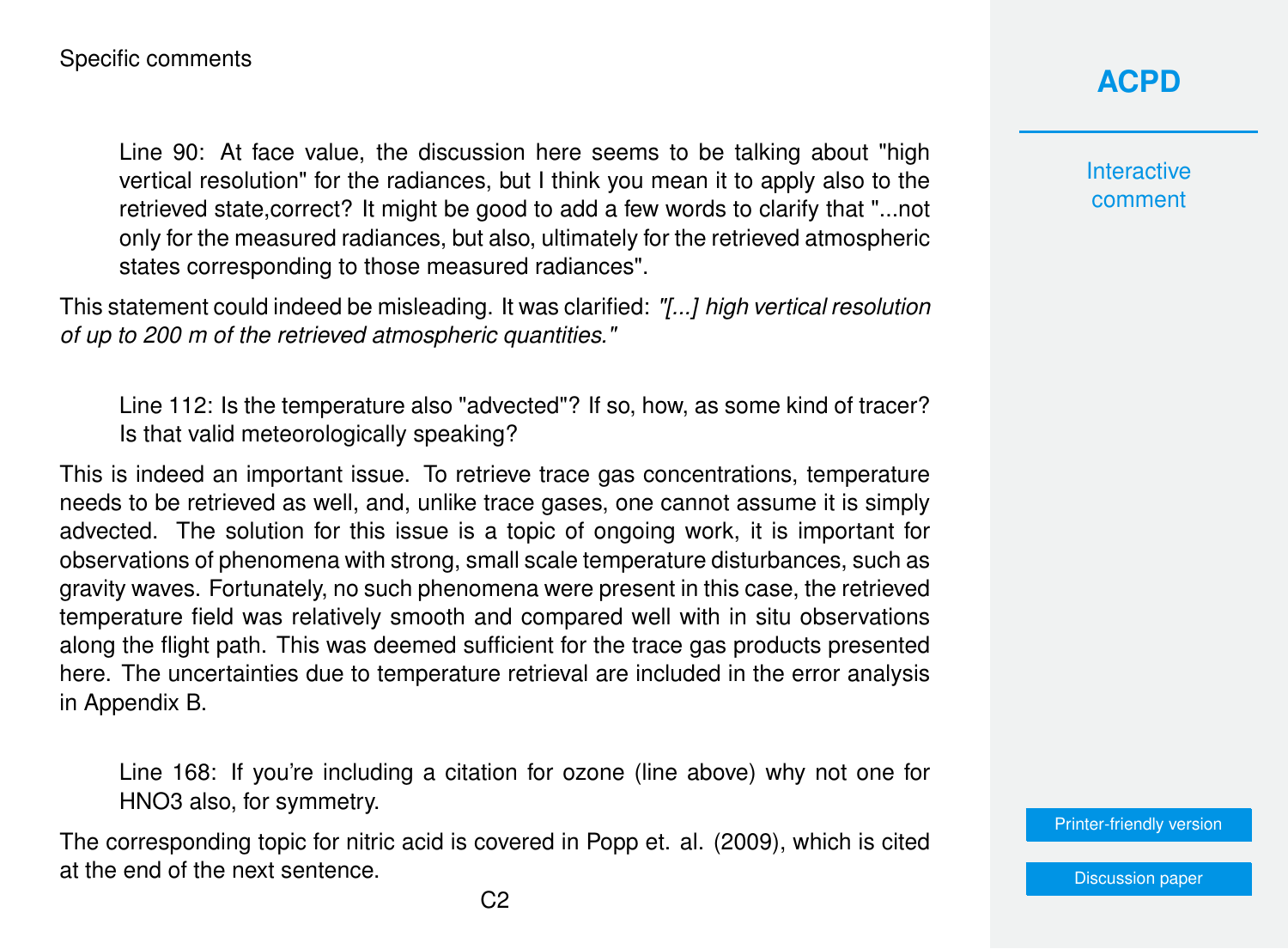Line 90: At face value, the discussion here seems to be talking about "high vertical resolution" for the radiances, but I think you mean it to apply also to the retrieved state,correct? It might be good to add a few words to clarify that "...not only for the measured radiances, but also, ultimately for the retrieved atmospheric states corresponding to those measured radiances".

This statement could indeed be misleading. It was clarified: *"[...] high vertical resolution of up to 200 m of the retrieved atmospheric quantities."*

Line 112: Is the temperature also "advected"? If so, how, as some kind of tracer? Is that valid meteorologically speaking?

This is indeed an important issue. To retrieve trace gas concentrations, temperature needs to be retrieved as well, and, unlike trace gases, one cannot assume it is simply advected. The solution for this issue is a topic of ongoing work, it is important for observations of phenomena with strong, small scale temperature disturbances, such as gravity waves. Fortunately, no such phenomena were present in this case, the retrieved temperature field was relatively smooth and compared well with in situ observations along the flight path. This was deemed sufficient for the trace gas products presented here. The uncertainties due to temperature retrieval are included in the error analysis in Appendix B.

Line 168: If you're including a citation for ozone (line above) why not one for HNO3 also, for symmetry.

The corresponding topic for nitric acid is covered in Popp et. al. (2009), which is cited at the end of the next sentence.

## **[ACPD](https://acp.copernicus.org/preprints/)**

**Interactive** comment

[Printer-friendly version](https://acp.copernicus.org/preprints/acp-2020-1053/acp-2020-1053-AC2-print.pdf)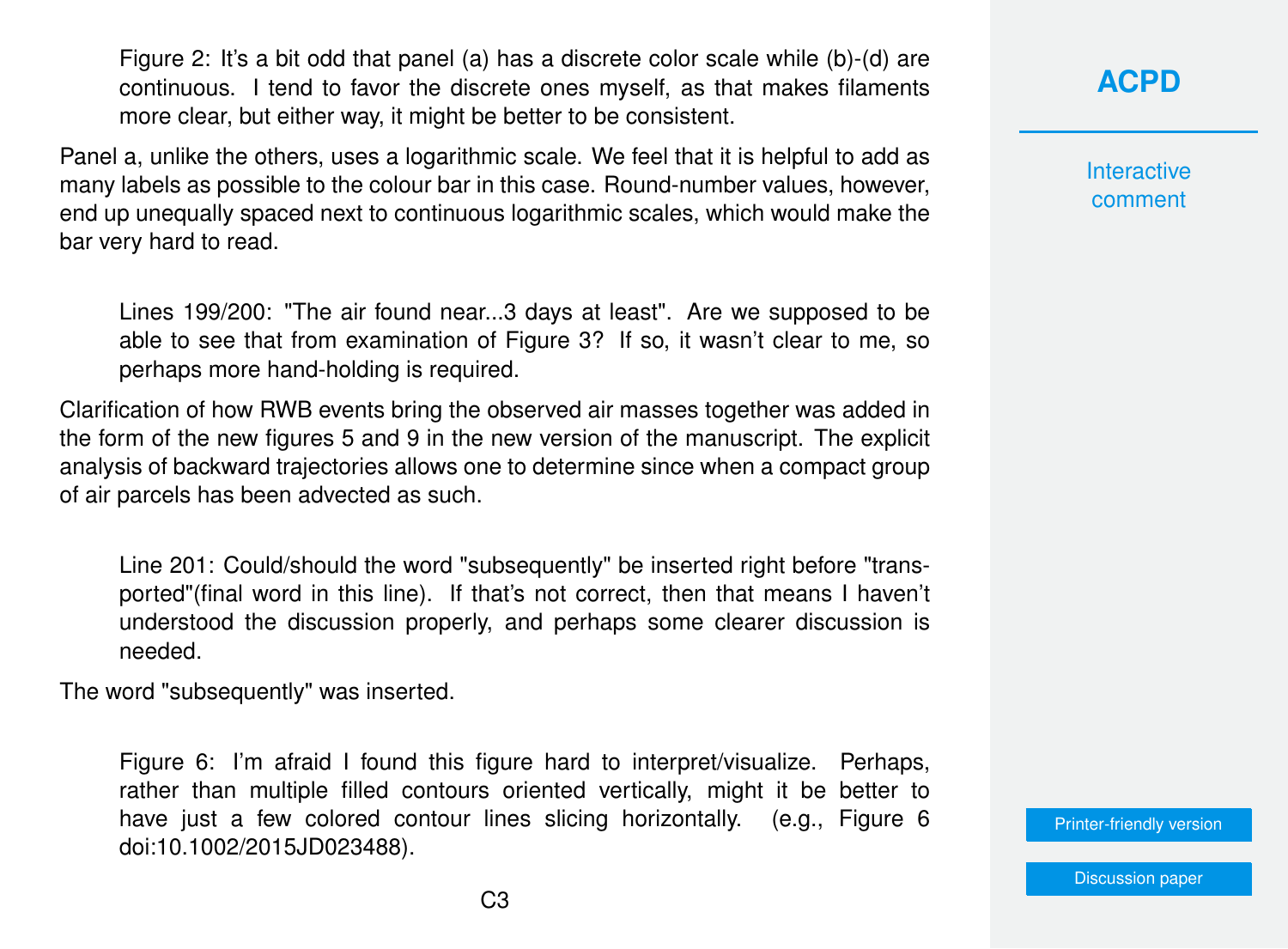Figure 2: It's a bit odd that panel (a) has a discrete color scale while (b)-(d) are continuous. I tend to favor the discrete ones myself, as that makes filaments more clear, but either way, it might be better to be consistent.

Panel a, unlike the others, uses a logarithmic scale. We feel that it is helpful to add as many labels as possible to the colour bar in this case. Round-number values, however, end up unequally spaced next to continuous logarithmic scales, which would make the bar very hard to read.

Lines 199/200: "The air found near...3 days at least". Are we supposed to be able to see that from examination of Figure 3? If so, it wasn't clear to me, so perhaps more hand-holding is required.

Clarification of how RWB events bring the observed air masses together was added in the form of the new figures 5 and 9 in the new version of the manuscript. The explicit analysis of backward trajectories allows one to determine since when a compact group of air parcels has been advected as such.

Line 201: Could/should the word "subsequently" be inserted right before "transported"(final word in this line). If that's not correct, then that means I haven't understood the discussion properly, and perhaps some clearer discussion is needed.

The word "subsequently" was inserted.

Figure 6: I'm afraid I found this figure hard to interpret/visualize. Perhaps, rather than multiple filled contours oriented vertically, might it be better to have just a few colored contour lines slicing horizontally. (e.g., Figure 6 doi:10.1002/2015JD023488).

**[ACPD](https://acp.copernicus.org/preprints/)**

**Interactive** comment

[Printer-friendly version](https://acp.copernicus.org/preprints/acp-2020-1053/acp-2020-1053-AC2-print.pdf)